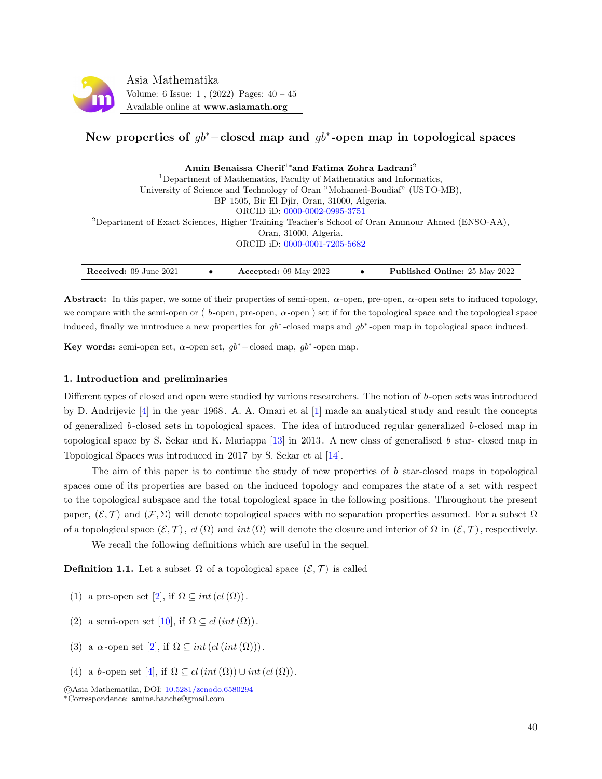

# New properties of  $gb^*$ –closed map and  $gb^*$ -open map in topological spaces

| Amin Benaissa Cherif <sup>1*</sup> and Fatima Zohra Ladrani <sup>2</sup>                                    |  |
|-------------------------------------------------------------------------------------------------------------|--|
| <sup>1</sup> Department of Mathematics, Faculty of Mathematics and Informatics,                             |  |
| University of Science and Technology of Oran "Mohamed-Boudiaf" (USTO-MB),                                   |  |
| BP 1505, Bir El Djir, Oran, 31000, Algeria.                                                                 |  |
| ORCID iD: 0000-0002-0995-3751                                                                               |  |
| <sup>2</sup> Department of Exact Sciences, Higher Training Teacher's School of Oran Ammour Ahmed (ENSO-AA), |  |
| Oran, 31000, Algeria.                                                                                       |  |
| ORCID iD: 0000-0001-7205-5682                                                                               |  |
|                                                                                                             |  |

| Accepted: $09$ May $2022$<br><b>Received:</b> 09 June 2021 | <b>Published Online: 25 May 2022</b> |
|------------------------------------------------------------|--------------------------------------|
|------------------------------------------------------------|--------------------------------------|

Abstract: In this paper, we some of their properties of semi-open,  $\alpha$ -open, pre-open,  $\alpha$ -open sets to induced topology, we compare with the semi-open or ( $b$ -open, pre-open,  $\alpha$ -open) set if for the topological space and the topological space induced, finally we inntroduce a new properties for  $gb^*$ -closed maps and  $gb^*$ -open map in topological space induced.

Key words: semi-open set,  $\alpha$ -open set,  $gb^*$ –closed map,  $gb^*$ -open map.

## 1. Introduction and preliminaries

Different types of closed and open were studied by various researchers. The notion of b-open sets was introduced by D. Andrijevic [\[4\]](#page-5-0) in the year 1968. A. A. Omari et al [\[1\]](#page-5-1) made an analytical study and result the concepts of generalized b-closed sets in topological spaces. The idea of introduced regular generalized b-closed map in topological space by S. Sekar and K. Mariappa [\[13\]](#page-5-2) in 2013. A new class of generalised b star- closed map in Topological Spaces was introduced in 2017 by S. Sekar et al [\[14\]](#page-5-3).

The aim of this paper is to continue the study of new properties of  $b$  star-closed maps in topological spaces ome of its properties are based on the induced topology and compares the state of a set with respect to the topological subspace and the total topological space in the following positions. Throughout the present paper,  $(\mathcal{E}, \mathcal{T})$  and  $(\mathcal{F}, \Sigma)$  will denote topological spaces with no separation properties assumed. For a subset  $\Omega$ of a topological space  $(\mathcal{E}, \mathcal{T})$ ,  $cl(\Omega)$  and  $int(\Omega)$  will denote the closure and interior of  $\Omega$  in  $(\mathcal{E}, \mathcal{T})$ , respectively.

We recall the following definitions which are useful in the sequel.

**Definition 1.1.** Let a subset  $\Omega$  of a topological space  $(\mathcal{E}, \mathcal{T})$  is called

- (1) a pre-open set [\[2\]](#page-5-4), if  $\Omega \subseteq int(cl(\Omega))$ .
- (2) a semi-open set [\[10\]](#page-5-5), if  $\Omega \subseteq cl(int(\Omega))$ .
- (3) a  $\alpha$ -open set [\[2\]](#page-5-4), if  $\Omega \subseteq int(cl(int(\Omega)))$ .
- (4) a b-open set [\[4\]](#page-5-0), if  $\Omega \subseteq cl(int(\Omega)) \cup int(cl(\Omega))$ .

c Asia Mathematika, DOI: [10.5281/zenodo.6580294](http://www.asiamath.org/article/vol6iss1/AM-2108-5212.pdf)

<sup>∗</sup>Correspondence: amine.banche@gmail.com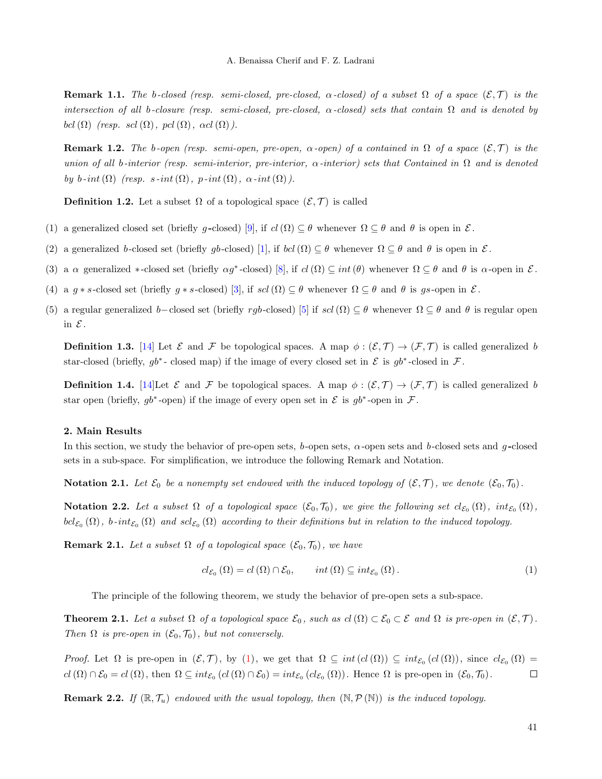**Remark 1.1.** The b-closed (resp. semi-closed, pre-closed,  $\alpha$ -closed) of a subset  $\Omega$  of a space  $(\mathcal{E}, \mathcal{T})$  is the intersection of all b-closure (resp. semi-closed, pre-closed,  $\alpha$ -closed) sets that contain  $\Omega$  and is denoted by bcl( $\Omega$ ) (resp. scl( $\Omega$ ), pcl( $\Omega$ ),  $\alpha$ cl( $\Omega$ )).

**Remark 1.2.** The b-open (resp. semi-open, pre-open,  $\alpha$ -open) of a contained in  $\Omega$  of a space  $(\mathcal{E}, \mathcal{T})$  is the union of all b-interior (resp. semi-interior, pre-interior,  $\alpha$ -interior) sets that Contained in  $\Omega$  and is denoted by b-int( $\Omega$ ) (resp. s-int( $\Omega$ ), p-int( $\Omega$ ),  $\alpha$ -int( $\Omega$ )).

**Definition 1.2.** Let a subset  $\Omega$  of a topological space  $(\mathcal{E}, \mathcal{T})$  is called

- (1) a generalized closed set (briefly g-closed) [\[9\]](#page-5-6), if  $cl(\Omega) \subseteq \theta$  whenever  $\Omega \subseteq \theta$  and  $\theta$  is open in  $\mathcal{E}$ .
- (2) a generalized b-closed set (briefly gb-closed) [\[1\]](#page-5-1), if  $bcl(\Omega) \subseteq \theta$  whenever  $\Omega \subseteq \theta$  and  $\theta$  is open in  $\mathcal{E}$ .
- (3) a  $\alpha$  generalized \*-closed set (briefly  $\alpha g^*$ -closed) [\[8\]](#page-5-7), if  $cl(\Omega) \subseteq int(\theta)$  whenever  $\Omega \subseteq \theta$  and  $\theta$  is  $\alpha$ -open in  $\mathcal{E}$ .
- (4) a g ∗ s-closed set (briefly g ∗ s-closed) [\[3\]](#page-5-8), if scl( $\Omega$ )  $\subseteq \theta$  whenever  $\Omega \subseteq \theta$  and  $\theta$  is gs-open in  $\mathcal{E}$ .
- (5) a regular generalized b–closed set (briefly rgb-closed) [\[5\]](#page-5-9) if  $\mathfrak{sl}(\Omega) \subseteq \theta$  whenever  $\Omega \subseteq \theta$  and  $\theta$  is regular open in  $\mathcal E$ .

**Definition 1.3.** [\[14\]](#page-5-3) Let  $\mathcal E$  and  $\mathcal F$  be topological spaces. A map  $\phi : (\mathcal E, \mathcal T) \to (\mathcal F, \mathcal T)$  is called generalized b star-closed (briefly,  $gb^*$ -closed map) if the image of every closed set in  $\mathcal E$  is  $gb^*$ -closed in  $\mathcal F$ .

**Definition 1.4.** [\[14\]](#page-5-3)Let  $\mathcal{E}$  and  $\mathcal{F}$  be topological spaces. A map  $\phi : (\mathcal{E}, \mathcal{T}) \to (\mathcal{F}, \mathcal{T})$  is called generalized b star open (briefly,  $gb^*$ -open) if the image of every open set in  $\mathcal E$  is  $gb^*$ -open in  $\mathcal F$ .

## 2. Main Results

In this section, we study the behavior of pre-open sets, b-open sets,  $\alpha$ -open sets and b-closed sets and q-closed sets in a sub-space. For simplification, we introduce the following Remark and Notation.

**Notation 2.1.** Let  $\mathcal{E}_0$  be a nonempty set endowed with the induced topology of  $(\mathcal{E}, \mathcal{T})$ , we denote  $(\mathcal{E}_0, \mathcal{T}_0)$ .

**Notation 2.2.** Let a subset  $\Omega$  of a topological space  $(\mathcal{E}_0, \mathcal{T}_0)$ , we give the following set  $cl_{\mathcal{E}_0}(\Omega)$ ,  $int_{\mathcal{E}_0}(\Omega)$ ,  $bcl_{\mathcal{E}_{0}}(\Omega)$ , b-int $_{\mathcal{E}_{0}}(\Omega)$  and  $scl_{\mathcal{E}_{0}}(\Omega)$  according to their definitions but in relation to the induced topology.

<span id="page-1-2"></span>**Remark 2.1.** Let a subset  $\Omega$  of a topological space  $(\mathcal{E}_0, \mathcal{T}_0)$ , we have

<span id="page-1-0"></span>
$$
cl_{\mathcal{E}_0}(\Omega) = cl(\Omega) \cap \mathcal{E}_0, \qquad int(\Omega) \subseteq int_{\mathcal{E}_0}(\Omega).
$$
 (1)

The principle of the following theorem, we study the behavior of pre-open sets a sub-space.

<span id="page-1-1"></span>**Theorem 2.1.** Let a subset  $\Omega$  of a topological space  $\mathcal{E}_0$ , such as  $cl(\Omega) \subset \mathcal{E}_0 \subset \mathcal{E}$  and  $\Omega$  is pre-open in  $(\mathcal{E}, \mathcal{T})$ . Then  $\Omega$  is pre-open in  $(\mathcal{E}_0, \mathcal{T}_0)$ , but not conversely.

Proof. Let  $\Omega$  is pre-open in  $(\mathcal{E}, \mathcal{T})$ , by [\(1\)](#page-1-0), we get that  $\Omega \subseteq int (cl(\Omega)) \subseteq int_{\mathcal{E}_0}(cl(\Omega))$ , since  $cl_{\mathcal{E}_0}(\Omega)$  $cl(\Omega) \cap \mathcal{E}_0 = cl(\Omega)$ , then  $\Omega \subseteq int_{\mathcal{E}_0} (cl(\Omega) \cap \mathcal{E}_0) = int_{\mathcal{E}_0} (cl_{\mathcal{E}_0}(\Omega))$ . Hence  $\Omega$  is pre-open in  $(\mathcal{E}_0, \mathcal{T}_0)$ .  $\Box$ 

**Remark 2.2.** If  $(\mathbb{R}, \mathcal{T}_u)$  endowed with the usual topology, then  $(\mathbb{N}, \mathcal{P}(\mathbb{N}))$  is the induced topology.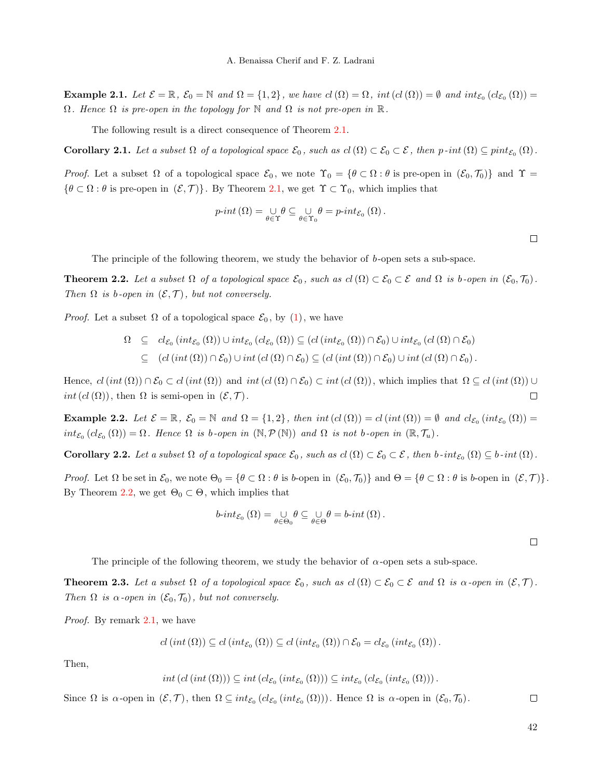**Example 2.1.** Let  $\mathcal{E} = \mathbb{R}$ ,  $\mathcal{E}_0 = \mathbb{N}$  and  $\Omega = \{1, 2\}$ , we have  $cl(\Omega) = \Omega$ , int  $(cl(\Omega)) = \emptyset$  and  $int_{\mathcal{E}_0} (cl_{\mathcal{E}_0}(\Omega)) =$  $\Omega$ . Hence  $\Omega$  is pre-open in the topology for  $\mathbb N$  and  $\Omega$  is not pre-open in  $\mathbb R$ .

The following result is a direct consequence of Theorem [2.1.](#page-1-1)

**Corollary 2.1.** Let a subset  $\Omega$  of a topological space  $\mathcal{E}_0$ , such as  $cl(\Omega) \subset \mathcal{E}_0 \subset \mathcal{E}$ , then  $p$ -int $(\Omega) \subseteq pint_{\mathcal{E}_0}(\Omega)$ .

Proof. Let a subset  $\Omega$  of a topological space  $\mathcal{E}_0$ , we note  $\Upsilon_0 = \{ \theta \subset \Omega : \theta \text{ is pre-open in } (\mathcal{E}_0, \mathcal{T}_0) \}$  and  $\Upsilon =$  ${\theta \subset \Omega : \theta \text{ is pre-open in } (\mathcal{E}, \mathcal{T})}.$  By Theorem [2.1,](#page-1-1) we get  $\Upsilon \subset \Upsilon_0$ , which implies that

$$
p\text{-}int\left(\Omega\right) = \bigcup_{\theta \in \Upsilon} \theta \subseteq \bigcup_{\theta \in \Upsilon_0} \theta = p\text{-}int_{\mathcal{E}_0}\left(\Omega\right).
$$

The principle of the following theorem, we study the behavior of b-open sets a sub-space.

<span id="page-2-0"></span>**Theorem 2.2.** Let a subset  $\Omega$  of a topological space  $\mathcal{E}_0$ , such as  $cl(\Omega) \subset \mathcal{E}_0 \subset \mathcal{E}$  and  $\Omega$  is b-open in  $(\mathcal{E}_0, \mathcal{T}_0)$ . Then  $\Omega$  is b-open in  $(\mathcal{E}, \mathcal{T})$ , but not conversely.

*Proof.* Let a subset  $\Omega$  of a topological space  $\mathcal{E}_0$ , by [\(1\)](#page-1-0), we have

$$
\Omega \subseteq cl_{\mathcal{E}_0}(int_{\mathcal{E}_0}(\Omega)) \cup int_{\mathcal{E}_0}(cl_{\mathcal{E}_0}(\Omega)) \subseteq (cl(int_{\mathcal{E}_0}(\Omega)) \cap \mathcal{E}_0) \cup int_{\mathcal{E}_0}(cl(\Omega) \cap \mathcal{E}_0)
$$
  

$$
\subseteq (cl(int(\Omega)) \cap \mathcal{E}_0) \cup int(cl(\Omega) \cap \mathcal{E}_0) \subseteq (cl(int(\Omega)) \cap \mathcal{E}_0) \cup int(cl(\Omega) \cap \mathcal{E}_0).
$$

Hence,  $cl(int(\Omega)) \cap \mathcal{E}_0 \subset cl(int(\Omega))$  and  $int(cl(\Omega) \cap \mathcal{E}_0) \subset int(cl(\Omega))$ , which implies that  $\Omega \subseteq cl(int(\Omega)) \cup$ int  $(cl(\Omega))$ , then  $\Omega$  is semi-open in  $(\mathcal{E}, \mathcal{T})$ .  $\Box$ 

Example 2.2. Let  $\mathcal{E} = \mathbb{R}$ ,  $\mathcal{E}_0 = \mathbb{N}$  and  $\Omega = \{1, 2\}$ , then int  $(cl(\Omega)) = cl (int(\Omega)) = \emptyset$  and  $cl_{\mathcal{E}_0}(int_{\mathcal{E}_0}(\Omega)) =$  $int_{\mathcal{E}_0} (cl_{\mathcal{E}_0}(\Omega)) = \Omega$ . Hence  $\Omega$  is b-open in  $(\mathbb{N}, \mathcal{P}(\mathbb{N}))$  and  $\Omega$  is not b-open in  $(\mathbb{R}, \mathcal{T}_u)$ .

**Corollary 2.2.** Let a subset  $\Omega$  of a topological space  $\mathcal{E}_0$ , such as  $cl(\Omega) \subset \mathcal{E}_0 \subset \mathcal{E}$ , then b-int $\mathcal{E}_0(\Omega) \subseteq b$ -int $(\Omega)$ .

Proof. Let  $\Omega$  be set in  $\mathcal{E}_0$ , we note  $\Theta_0 = \{ \theta \subset \Omega : \theta \text{ is } b\text{-open in } (\mathcal{E}_0, \mathcal{T}_0) \}$  and  $\Theta = \{ \theta \subset \Omega : \theta \text{ is } b\text{-open in } (\mathcal{E}, \mathcal{T}) \}.$ By Theorem [2.2,](#page-2-0) we get  $\Theta_0 \subset \Theta$ , which implies that

$$
b\text{-}int_{\mathcal{E}_0}(\Omega)=\bigcup_{\theta\in\Theta_0}\theta\subseteq\bigcup_{\theta\in\Theta}\theta=b\text{-}int(\Omega).
$$

 $\Box$ 

 $\Box$ 

The principle of the following theorem, we study the behavior of  $\alpha$ -open sets a sub-space.

<span id="page-2-1"></span>**Theorem 2.3.** Let a subset  $\Omega$  of a topological space  $\mathcal{E}_0$ , such as  $cl(\Omega) \subset \mathcal{E}_0 \subset \mathcal{E}$  and  $\Omega$  is  $\alpha$ -open in  $(\mathcal{E}, \mathcal{T})$ . Then  $\Omega$  is  $\alpha$ -open in  $(\mathcal{E}_0, \mathcal{T}_0)$ , but not conversely.

*Proof.* By remark [2.1,](#page-1-2) we have

$$
cl(int(\Omega)) \subseteq cl(int_{\mathcal{E}_0}(\Omega)) \subseteq cl(int_{\mathcal{E}_0}(\Omega)) \cap \mathcal{E}_0 = cl_{\mathcal{E}_0}(int_{\mathcal{E}_0}(\Omega)).
$$

Then,

 $int (cl (int (\Omega))) \subseteq int (cl_{\mathcal{E}_0} (int_{\mathcal{E}_0} (\Omega))) \subseteq int_{\mathcal{E}_0} (cl_{\mathcal{E}_0} (int_{\mathcal{E}_0} (\Omega)))$ .

Since  $\Omega$  is  $\alpha$ -open in  $(\mathcal{E}, \mathcal{T})$ , then  $\Omega \subseteq int_{\mathcal{E}_0}(cl_{\mathcal{E}_0}(int_{\mathcal{E}_0}(\Omega)))$ . Hence  $\Omega$  is  $\alpha$ -open in  $(\mathcal{E}_0, \mathcal{T}_0)$ .  $\Box$ 

42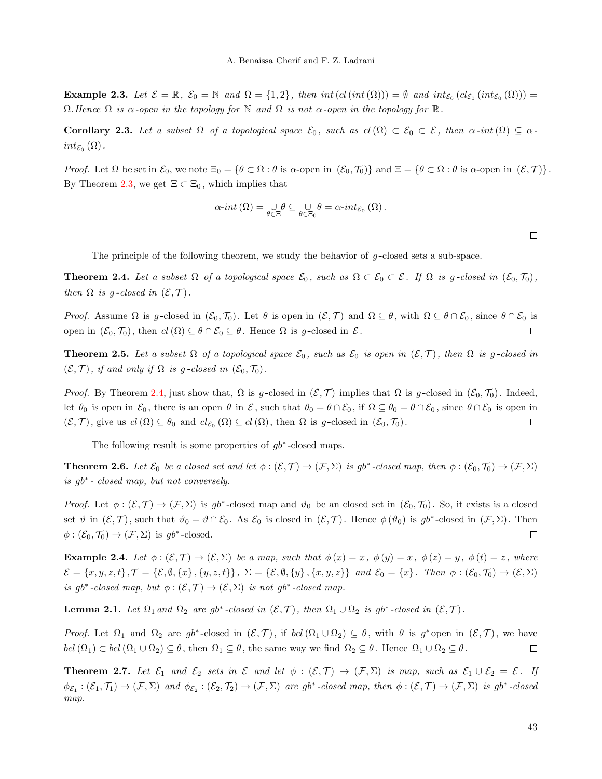**Example 2.3.** Let  $\mathcal{E} = \mathbb{R}$ ,  $\mathcal{E}_0 = \mathbb{N}$  and  $\Omega = \{1, 2\}$ , then int  $(cl(int(\Omega))) = \emptyset$  and  $int_{\mathcal{E}_0} (cl_{\mathcal{E}_0}(int_{\mathcal{E}_0}(\Omega))) =$  $\Omega$ . Hence  $\Omega$  is  $\alpha$ -open in the topology for  $\mathbb N$  and  $\Omega$  is not  $\alpha$ -open in the topology for  $\mathbb R$ .

Corollary 2.3. Let a subset  $\Omega$  of a topological space  $\mathcal{E}_0$ , such as  $cl(\Omega) \subset \mathcal{E}_0 \subset \mathcal{E}$ , then  $\alpha$ -int $(\Omega) \subseteq \alpha$  $int_{\mathcal{E}_0}(\Omega)$  .

Proof. Let  $\Omega$  be set in  $\mathcal{E}_0$ , we note  $\Xi_0 = \{ \theta \subset \Omega : \theta \text{ is } \alpha\text{-open in } (\mathcal{E}_0, \mathcal{T}_0) \}$  and  $\Xi = \{ \theta \subset \Omega : \theta \text{ is } \alpha\text{-open in } (\mathcal{E}, \mathcal{T}) \}.$ By Theorem [2.3,](#page-2-1) we get  $\Xi \subset \Xi_0$ , which implies that

$$
\alpha\text{-}int\left(\Omega\right) = \bigcup_{\theta\in\Xi}\theta\subseteq \bigcup_{\theta\in\Xi_0}\theta = \alpha\text{-}int_{\mathcal{E}_0}\left(\Omega\right).
$$

The principle of the following theorem, we study the behavior of  $q$ -closed sets a sub-space.

<span id="page-3-0"></span>**Theorem 2.4.** Let a subset  $\Omega$  of a topological space  $\mathcal{E}_0$ , such as  $\Omega \subset \mathcal{E}_0 \subset \mathcal{E}$ . If  $\Omega$  is g-closed in  $(\mathcal{E}_0, \mathcal{T}_0)$ , then  $\Omega$  is g-closed in  $(\mathcal{E}, \mathcal{T})$ .

*Proof.* Assume  $\Omega$  is g-closed in  $(\mathcal{E}_0, \mathcal{T}_0)$ . Let  $\theta$  is open in  $(\mathcal{E}, \mathcal{T})$  and  $\Omega \subseteq \theta$ , with  $\Omega \subseteq \theta \cap \mathcal{E}_0$ , since  $\theta \cap \mathcal{E}_0$  is open in  $(\mathcal{E}_0, \mathcal{T}_0)$ , then  $cl(\Omega) \subseteq \theta \cap \mathcal{E}_0 \subseteq \theta$ . Hence  $\Omega$  is g-closed in  $\mathcal{E}$ .  $\Box$ 

**Theorem 2.5.** Let a subset  $\Omega$  of a topological space  $\mathcal{E}_0$ , such as  $\mathcal{E}_0$  is open in  $(\mathcal{E}, \mathcal{T})$ , then  $\Omega$  is g-closed in  $(\mathcal{E}, \mathcal{T})$ , if and only if  $\Omega$  is g-closed in  $(\mathcal{E}_0, \mathcal{T}_0)$ .

*Proof.* By Theorem [2.4,](#page-3-0) just show that,  $\Omega$  is g-closed in  $(\mathcal{E}, \mathcal{T})$  implies that  $\Omega$  is g-closed in  $(\mathcal{E}_0, \mathcal{T}_0)$ . Indeed, let  $\theta_0$  is open in  $\mathcal{E}_0$ , there is an open  $\theta$  in  $\mathcal{E}$ , such that  $\theta_0 = \theta \cap \mathcal{E}_0$ , if  $\Omega \subseteq \theta_0 = \theta \cap \mathcal{E}_0$ , since  $\theta \cap \mathcal{E}_0$  is open in  $(\mathcal{E}, \mathcal{T})$ , give us  $cl(\Omega) \subseteq \theta_0$  and  $cl_{\mathcal{E}_0}(\Omega) \subseteq cl(\Omega)$ , then  $\Omega$  is g-closed in  $(\mathcal{E}_0, \mathcal{T}_0)$ .  $\Box$ 

The following result is some properties of  $gb^*$ -closed maps.

**Theorem 2.6.** Let  $\mathcal{E}_0$  be a closed set and let  $\phi : (\mathcal{E}, \mathcal{T}) \to (\mathcal{F}, \Sigma)$  is gb<sup>\*</sup>-closed map, then  $\phi : (\mathcal{E}_0, \mathcal{T}_0) \to (\mathcal{F}, \Sigma)$ is gb<sup>∗</sup> - closed map, but not conversely.

Proof. Let  $\phi: (\mathcal{E}, \mathcal{T}) \to (\mathcal{F}, \Sigma)$  is gb<sup>\*</sup>-closed map and  $\vartheta_0$  be an closed set in  $(\mathcal{E}_0, \mathcal{T}_0)$ . So, it exists is a closed set  $\vartheta$  in  $(\mathcal{E}, \mathcal{T})$ , such that  $\vartheta_0 = \vartheta \cap \mathcal{E}_0$ . As  $\mathcal{E}_0$  is closed in  $(\mathcal{E}, \mathcal{T})$ . Hence  $\varphi(\vartheta_0)$  is  $gb^*$ -closed in  $(\mathcal{F}, \Sigma)$ . Then  $\phi: (\mathcal{E}_0, \mathcal{T}_0) \to (\mathcal{F}, \Sigma)$  is  $gb^*$ -closed.  $\Box$ 

**Example 2.4.** Let  $\phi : (\mathcal{E}, \mathcal{T}) \to (\mathcal{E}, \Sigma)$  be a map, such that  $\phi(x) = x$ ,  $\phi(y) = x$ ,  $\phi(z) = y$ ,  $\phi(t) = z$ , where  $\mathcal{E} = \{x, y, z, t\}, \mathcal{T} = \{\mathcal{E}, \emptyset, \{x\}, \{y, z, t\}\}, \ \Sigma = \{\mathcal{E}, \emptyset, \{y\}, \{x, y, z\}\}$  and  $\mathcal{E}_0 = \{x\}.$  Then  $\phi : (\mathcal{E}_0, \mathcal{T}_0) \to (\mathcal{E}, \Sigma)$ is gb<sup>\*</sup>-closed map, but  $\phi : (\mathcal{E}, \mathcal{T}) \to (\mathcal{E}, \Sigma)$  is not gb<sup>\*</sup>-closed map.

<span id="page-3-1"></span>**Lemma 2.1.** Let  $\Omega_1$  and  $\Omega_2$  are gb<sup>\*</sup>-closed in  $(\mathcal{E}, \mathcal{T})$ , then  $\Omega_1 \cup \Omega_2$  is gb<sup>\*</sup>-closed in  $(\mathcal{E}, \mathcal{T})$ .

Proof. Let  $\Omega_1$  and  $\Omega_2$  are gb<sup>\*</sup>-closed in  $(\mathcal{E}, \mathcal{T})$ , if  $bcl(\Omega_1 \cup \Omega_2) \subseteq \theta$ , with  $\theta$  is g<sup>\*</sup> open in  $(\mathcal{E}, \mathcal{T})$ , we have  $bcl(\Omega_1) \subset bcl(\Omega_1 \cup \Omega_2) \subseteq \theta$ , then  $\Omega_1 \subseteq \theta$ , the same way we find  $\Omega_2 \subseteq \theta$ . Hence  $\Omega_1 \cup \Omega_2 \subseteq \theta$ .  $\Box$ 

<span id="page-3-2"></span>**Theorem 2.7.** Let  $\mathcal{E}_1$  and  $\mathcal{E}_2$  sets in  $\mathcal{E}$  and let  $\phi : (\mathcal{E}, \mathcal{T}) \to (\mathcal{F}, \Sigma)$  is map, such as  $\mathcal{E}_1 \cup \mathcal{E}_2 = \mathcal{E}$ . If  $\phi_{\mathcal{E}_1} : (\mathcal{E}_1, \mathcal{T}_1) \to (\mathcal{F}, \Sigma)$  and  $\phi_{\mathcal{E}_2} : (\mathcal{E}_2, \mathcal{T}_2) \to (\mathcal{F}, \Sigma)$  are gb<sup>\*</sup>-closed map, then  $\phi : (\mathcal{E}, \mathcal{T}) \to (\mathcal{F}, \Sigma)$  is gb<sup>\*</sup>-closed map.

 $\Box$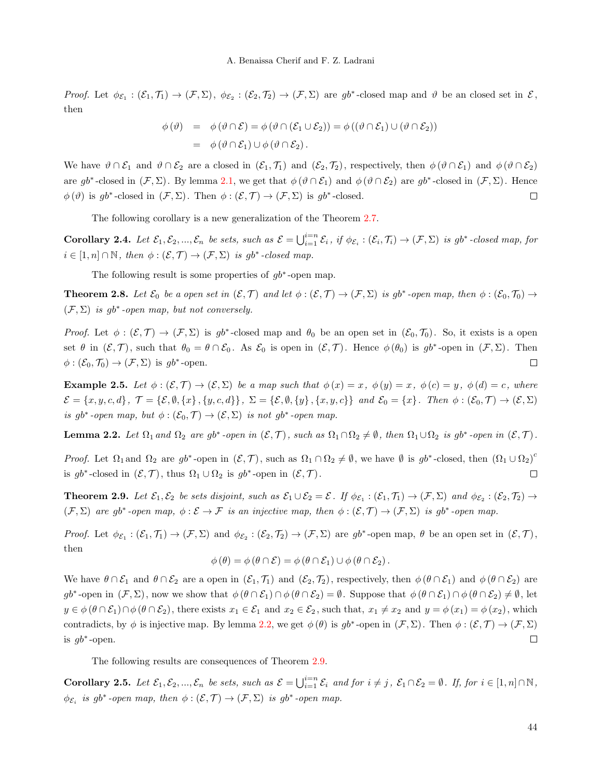Proof. Let  $\phi_{\mathcal{E}_1}: (\mathcal{E}_1, \mathcal{T}_1) \to (\mathcal{F}, \Sigma), \ \phi_{\mathcal{E}_2}: (\mathcal{E}_2, \mathcal{T}_2) \to (\mathcal{F}, \Sigma)$  are  $gb^*$ -closed map and  $\vartheta$  be an closed set in  $\mathcal{E},$ then

$$
\begin{array}{rcl} \phi(\vartheta) & = & \phi(\vartheta \cap \mathcal{E}) = \phi(\vartheta \cap (\mathcal{E}_1 \cup \mathcal{E}_2)) = \phi((\vartheta \cap \mathcal{E}_1) \cup (\vartheta \cap \mathcal{E}_2)) \\ \\ & = & \phi(\vartheta \cap \mathcal{E}_1) \cup \phi(\vartheta \cap \mathcal{E}_2) \,. \end{array}
$$

We have  $\vartheta \cap \mathcal{E}_1$  and  $\vartheta \cap \mathcal{E}_2$  are a closed in  $(\mathcal{E}_1, \mathcal{T}_1)$  and  $(\mathcal{E}_2, \mathcal{T}_2)$ , respectively, then  $\varphi(\vartheta \cap \mathcal{E}_1)$  and  $\varphi(\vartheta \cap \mathcal{E}_2)$ are  $gb^*$ -closed in  $(\mathcal{F}, \Sigma)$ . By lemma [2.1,](#page-3-1) we get that  $\phi(\vartheta \cap \mathcal{E}_1)$  and  $\phi(\vartheta \cap \mathcal{E}_2)$  are  $gb^*$ -closed in  $(\mathcal{F}, \Sigma)$ . Hence  $\phi(\vartheta)$  is gb<sup>\*</sup>-closed in  $(\mathcal{F}, \Sigma)$ . Then  $\phi: (\mathcal{E}, \mathcal{T}) \to (\mathcal{F}, \Sigma)$  is gb<sup>\*</sup>-closed.  $\Box$ 

The following corollary is a new generalization of the Theorem [2.7.](#page-3-2)

**Corollary 2.4.** Let  $\mathcal{E}_1, \mathcal{E}_2, ..., \mathcal{E}_n$  be sets, such as  $\mathcal{E} = \bigcup_{i=1}^{i=n} \mathcal{E}_i$ , if  $\phi_{\mathcal{E}_i} : (\mathcal{E}_i, \mathcal{T}_i) \to (\mathcal{F}, \Sigma)$  is gb<sup>\*</sup>-closed map, for  $i \in [1, n] \cap \mathbb{N}$ , then  $\phi : (\mathcal{E}, \mathcal{T}) \to (\mathcal{F}, \Sigma)$  is gb<sup>\*</sup>-closed map.

The following result is some properties of  $gb^*$ -open map.

**Theorem 2.8.** Let  $\mathcal{E}_0$  be a open set in  $(\mathcal{E}, \mathcal{T})$  and let  $\phi : (\mathcal{E}, \mathcal{T}) \to (\mathcal{F}, \Sigma)$  is gb<sup>\*</sup>-open map, then  $\phi : (\mathcal{E}_0, \mathcal{T}_0) \to$  $(\mathcal{F}, \Sigma)$  is gb<sup>\*</sup>-open map, but not conversely.

Proof. Let  $\phi: (\mathcal{E}, \mathcal{T}) \to (\mathcal{F}, \Sigma)$  is gb<sup>\*</sup>-closed map and  $\theta_0$  be an open set in  $(\mathcal{E}_0, \mathcal{T}_0)$ . So, it exists is a open set  $\theta$  in  $(\mathcal{E}, \mathcal{T})$ , such that  $\theta_0 = \theta \cap \mathcal{E}_0$ . As  $\mathcal{E}_0$  is open in  $(\mathcal{E}, \mathcal{T})$ . Hence  $\phi(\theta_0)$  is  $gb^*$ -open in  $(\mathcal{F}, \Sigma)$ . Then  $\phi: (\mathcal{E}_0, \mathcal{T}_0) \to (\mathcal{F}, \Sigma)$  is  $gb^*$ -open.  $\Box$ 

**Example 2.5.** Let  $\phi : (\mathcal{E}, \mathcal{T}) \to (\mathcal{E}, \Sigma)$  be a map such that  $\phi(x) = x$ ,  $\phi(y) = x$ ,  $\phi(c) = y$ ,  $\phi(d) = c$ , where  $\mathcal{E} = \{x, y, c, d\}, \ \mathcal{T} = \{\mathcal{E}, \emptyset, \{x\}, \{y, c, d\}\}, \ \Sigma = \{\mathcal{E}, \emptyset, \{y\}, \{x, y, c\}\} \$ and  $\mathcal{E}_0 = \{x\}.$  Then  $\phi : (\mathcal{E}_0, \mathcal{T}) \to (\mathcal{E}, \Sigma)$ is gb<sup>\*</sup>-open map, but  $\phi : (\mathcal{E}_0, \mathcal{T}) \to (\mathcal{E}, \Sigma)$  is not gb<sup>\*</sup>-open map.

<span id="page-4-0"></span>**Lemma 2.2.** Let  $\Omega_1$  and  $\Omega_2$  are  $gb^*$ -open in  $(\mathcal{E}, \mathcal{T})$ , such as  $\Omega_1 \cap \Omega_2 \neq \emptyset$ , then  $\Omega_1 \cup \Omega_2$  is  $gb^*$ -open in  $(\mathcal{E}, \mathcal{T})$ .

Proof. Let  $\Omega_1$  and  $\Omega_2$  are gb<sup>\*</sup>-open in  $(\mathcal{E}, \mathcal{T})$ , such as  $\Omega_1 \cap \Omega_2 \neq \emptyset$ , we have  $\emptyset$  is gb<sup>\*</sup>-closed, then  $(\Omega_1 \cup \Omega_2)^c$ is  $gb^*$ -closed in  $(\mathcal{E}, \mathcal{T})$ , thus  $\Omega_1 \cup \Omega_2$  is  $gb^*$ -open in  $(\mathcal{E}, \mathcal{T})$ .  $\Box$ 

<span id="page-4-1"></span>**Theorem 2.9.** Let  $\mathcal{E}_1, \mathcal{E}_2$  be sets disjoint, such as  $\mathcal{E}_1 \cup \mathcal{E}_2 = \mathcal{E}$ . If  $\phi_{\mathcal{E}_1} : (\mathcal{E}_1, \mathcal{T}_1) \to (\mathcal{F}, \Sigma)$  and  $\phi_{\mathcal{E}_2} : (\mathcal{E}_2, \mathcal{T}_2) \to$  $(\mathcal{F}, \Sigma)$  are gb<sup>\*</sup>-open map,  $\phi : \mathcal{E} \to \mathcal{F}$  is an injective map, then  $\phi : (\mathcal{E}, \mathcal{T}) \to (\mathcal{F}, \Sigma)$  is gb<sup>\*</sup>-open map.

Proof. Let  $\phi_{\mathcal{E}_1} : (\mathcal{E}_1, \mathcal{T}_1) \to (\mathcal{F}, \Sigma)$  and  $\phi_{\mathcal{E}_2} : (\mathcal{E}_2, \mathcal{T}_2) \to (\mathcal{F}, \Sigma)$  are  $gb^*$ -open map,  $\theta$  be an open set in  $(\mathcal{E}, \mathcal{T})$ , then

$$
\phi(\theta) = \phi(\theta \cap \mathcal{E}) = \phi(\theta \cap \mathcal{E}_1) \cup \phi(\theta \cap \mathcal{E}_2).
$$

We have  $\theta \cap \mathcal{E}_1$  and  $\theta \cap \mathcal{E}_2$  are a open in  $(\mathcal{E}_1, \mathcal{T}_1)$  and  $(\mathcal{E}_2, \mathcal{T}_2)$ , respectively, then  $\phi(\theta \cap \mathcal{E}_1)$  and  $\phi(\theta \cap \mathcal{E}_2)$  are  $gb^*$ -open in  $(\mathcal{F}, \Sigma)$ , now we show that  $\phi(\theta \cap \mathcal{E}_1) \cap \phi(\theta \cap \mathcal{E}_2) = \emptyset$ . Suppose that  $\phi(\theta \cap \mathcal{E}_1) \cap \phi(\theta \cap \mathcal{E}_2) \neq \emptyset$ , let  $y \in \phi(\theta \cap \mathcal{E}_1) \cap \phi(\theta \cap \mathcal{E}_2)$ , there exists  $x_1 \in \mathcal{E}_1$  and  $x_2 \in \mathcal{E}_2$ , such that,  $x_1 \neq x_2$  and  $y = \phi(x_1) = \phi(x_2)$ , which contradicts, by  $\phi$  is injective map. By lemma [2.2,](#page-4-0) we get  $\phi(\theta)$  is  $gb^*$ -open in  $(\mathcal{F}, \Sigma)$ . Then  $\phi : (\mathcal{E}, \mathcal{T}) \to (\mathcal{F}, \Sigma)$ is  $gb^*$ -open.  $\Box$ 

The following results are consequences of Theorem [2.9.](#page-4-1)

**Corollary 2.5.** Let  $\mathcal{E}_1, \mathcal{E}_2, ..., \mathcal{E}_n$  be sets, such as  $\mathcal{E} = \bigcup_{i=1}^{i=n} \mathcal{E}_i$  and for  $i \neq j$ ,  $\mathcal{E}_1 \cap \mathcal{E}_2 = \emptyset$ . If, for  $i \in [1, n] \cap \mathbb{N}$ ,  $\phi_{\mathcal{E}_i}$  is gb<sup>\*</sup>-open map, then  $\phi : (\mathcal{E}, \mathcal{T}) \to (\mathcal{F}, \Sigma)$  is gb<sup>\*</sup>-open map.